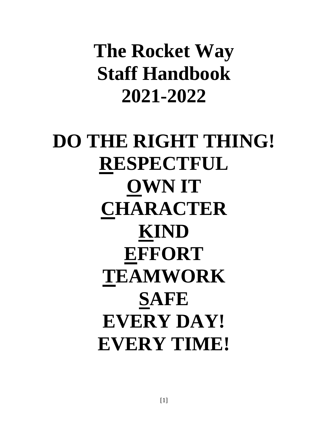**The Rocket Way Staff Handbook 2021-2022**

**DO THE RIGHT THING! RESPECTFUL OWN IT CHARACTER KIND EFFORT TEAMWORK SAFE EVERY DAY! EVERY TIME!**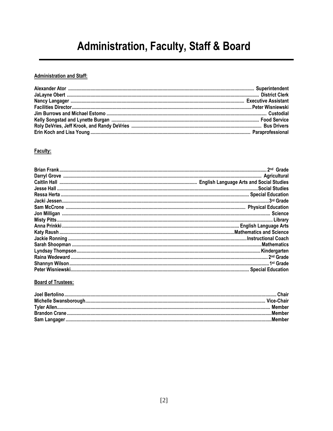# **Administration, Faculty, Staff & Board**

#### **Administration and Staff:**

### Faculty:

#### **Board of Trustees:**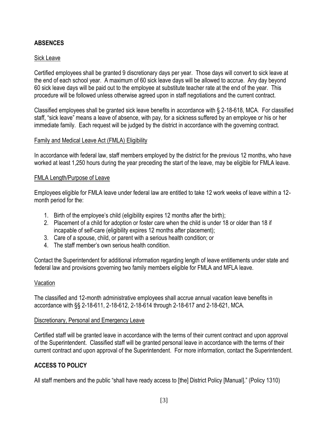# **ABSENCES**

### Sick Leave

Certified employees shall be granted 9 discretionary days per year. Those days will convert to sick leave at the end of each school year. A maximum of 60 sick leave days will be allowed to accrue. Any day beyond 60 sick leave days will be paid out to the employee at substitute teacher rate at the end of the year. This procedure will be followed unless otherwise agreed upon in staff negotiations and the current contract.

Classified employees shall be granted sick leave benefits in accordance with § 2-18-618, MCA. For classified staff, "sick leave" means a leave of absence, with pay, for a sickness suffered by an employee or his or her immediate family. Each request will be judged by the district in accordance with the governing contract.

#### Family and Medical Leave Act (FMLA) Eligibility

In accordance with federal law, staff members employed by the district for the previous 12 months, who have worked at least 1,250 hours during the year preceding the start of the leave, may be eligible for FMLA leave.

#### FMLA Length/Purpose of Leave

Employees eligible for FMLA leave under federal law are entitled to take 12 work weeks of leave within a 12 month period for the:

- 1. Birth of the employee's child (eligibility expires 12 months after the birth);
- 2. Placement of a child for adoption or foster care when the child is under 18 or older than 18 if incapable of self-care (eligibility expires 12 months after placement);
- 3. Care of a spouse, child, or parent with a serious health condition; or
- 4. The staff member's own serious health condition.

Contact the Superintendent for additional information regarding length of leave entitlements under state and federal law and provisions governing two family members eligible for FMLA and MFLA leave.

#### Vacation

The classified and 12-month administrative employees shall accrue annual vacation leave benefits in accordance with §§ 2-18-611, 2-18-612, 2-18-614 through 2-18-617 and 2-18-621, MCA.

#### Discretionary, Personal and Emergency Leave

Certified staff will be granted leave in accordance with the terms of their current contract and upon approval of the Superintendent. Classified staff will be granted personal leave in accordance with the terms of their current contract and upon approval of the Superintendent. For more information, contact the Superintendent.

# **ACCESS TO POLICY**

All staff members and the public "shall have ready access to [the] District Policy [Manual]." (Policy 1310)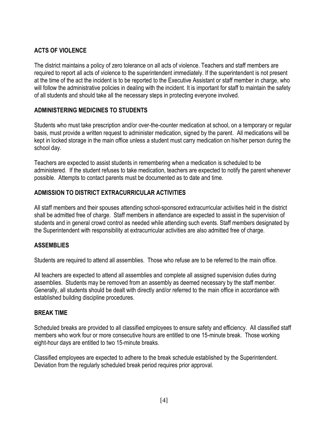# **ACTS OF VIOLENCE**

The district maintains a policy of zero tolerance on all acts of violence. Teachers and staff members are required to report all acts of violence to the superintendent immediately. If the superintendent is not present at the time of the act the incident is to be reported to the Executive Assistant or staff member in charge, who will follow the administrative policies in dealing with the incident. It is important for staff to maintain the safety of all students and should take all the necessary steps in protecting everyone involved.

### **ADMINISTERING MEDICINES TO STUDENTS**

Students who must take prescription and/or over-the-counter medication at school, on a temporary or regular basis, must provide a written request to administer medication, signed by the parent. All medications will be kept in locked storage in the main office unless a student must carry medication on his/her person during the school day.

Teachers are expected to assist students in remembering when a medication is scheduled to be administered. If the student refuses to take medication, teachers are expected to notify the parent whenever possible. Attempts to contact parents must be documented as to date and time.

### **ADMISSION TO DISTRICT EXTRACURRICULAR ACTIVITIES**

All staff members and their spouses attending school-sponsored extracurricular activities held in the district shall be admitted free of charge. Staff members in attendance are expected to assist in the supervision of students and in general crowd control as needed while attending such events. Staff members designated by the Superintendent with responsibility at extracurricular activities are also admitted free of charge.

### **ASSEMBLIES**

Students are required to attend all assemblies. Those who refuse are to be referred to the main office.

All teachers are expected to attend all assemblies and complete all assigned supervision duties during assemblies. Students may be removed from an assembly as deemed necessary by the staff member. Generally, all students should be dealt with directly and/or referred to the main office in accordance with established building discipline procedures.

### **BREAK TIME**

Scheduled breaks are provided to all classified employees to ensure safety and efficiency. All classified staff members who work four or more consecutive hours are entitled to one 15-minute break. Those working eight-hour days are entitled to two 15-minute breaks.

Classified employees are expected to adhere to the break schedule established by the Superintendent. Deviation from the regularly scheduled break period requires prior approval.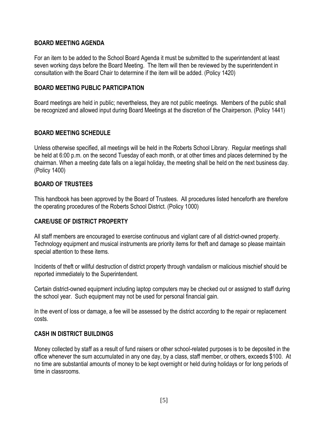### **BOARD MEETING AGENDA**

For an item to be added to the School Board Agenda it must be submitted to the superintendent at least seven working days before the Board Meeting. The Item will then be reviewed by the superintendent in consultation with the Board Chair to determine if the item will be added. (Policy 1420)

### **BOARD MEETING PUBLIC PARTICIPATION**

Board meetings are held in public; nevertheless, they are not public meetings. Members of the public shall be recognized and allowed input during Board Meetings at the discretion of the Chairperson. (Policy 1441)

### **BOARD MEETING SCHEDULE**

Unless otherwise specified, all meetings will be held in the Roberts School Library. Regular meetings shall be held at 6:00 p.m. on the second Tuesday of each month, or at other times and places determined by the chairman. When a meeting date falls on a legal holiday, the meeting shall be held on the next business day. (Policy 1400)

### **BOARD OF TRUSTEES**

This handbook has been approved by the Board of Trustees. All procedures listed henceforth are therefore the operating procedures of the Roberts School District. (Policy 1000)

# **CARE/USE OF DISTRICT PROPERTY**

All staff members are encouraged to exercise continuous and vigilant care of all district-owned property. Technology equipment and musical instruments are priority items for theft and damage so please maintain special attention to these items.

Incidents of theft or willful destruction of district property through vandalism or malicious mischief should be reported immediately to the Superintendent.

Certain district-owned equipment including laptop computers may be checked out or assigned to staff during the school year. Such equipment may not be used for personal financial gain.

In the event of loss or damage, a fee will be assessed by the district according to the repair or replacement costs.

### **CASH IN DISTRICT BUILDINGS**

Money collected by staff as a result of fund raisers or other school-related purposes is to be deposited in the office whenever the sum accumulated in any one day, by a class, staff member, or others, exceeds \$100. At no time are substantial amounts of money to be kept overnight or held during holidays or for long periods of time in classrooms.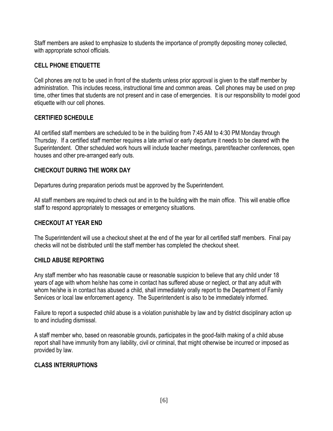Staff members are asked to emphasize to students the importance of promptly depositing money collected, with appropriate school officials.

### **CELL PHONE ETIQUETTE**

Cell phones are not to be used in front of the students unless prior approval is given to the staff member by administration. This includes recess, instructional time and common areas. Cell phones may be used on prep time, other times that students are not present and in case of emergencies. It is our responsibility to model good etiquette with our cell phones.

### **CERTIFIED SCHEDULE**

All certified staff members are scheduled to be in the building from 7:45 AM to 4:30 PM Monday through Thursday. If a certified staff member requires a late arrival or early departure it needs to be cleared with the Superintendent. Other scheduled work hours will include teacher meetings, parent/teacher conferences, open houses and other pre-arranged early outs.

### **CHECKOUT DURING THE WORK DAY**

Departures during preparation periods must be approved by the Superintendent.

All staff members are required to check out and in to the building with the main office. This will enable office staff to respond appropriately to messages or emergency situations.

# **CHECKOUT AT YEAR END**

The Superintendent will use a checkout sheet at the end of the year for all certified staff members. Final pay checks will not be distributed until the staff member has completed the checkout sheet.

### **CHILD ABUSE REPORTING**

Any staff member who has reasonable cause or reasonable suspicion to believe that any child under 18 years of age with whom he/she has come in contact has suffered abuse or neglect, or that any adult with whom he/she is in contact has abused a child, shall immediately orally report to the Department of Family Services or local law enforcement agency. The Superintendent is also to be immediately informed.

Failure to report a suspected child abuse is a violation punishable by law and by district disciplinary action up to and including dismissal.

A staff member who, based on reasonable grounds, participates in the good-faith making of a child abuse report shall have immunity from any liability, civil or criminal, that might otherwise be incurred or imposed as provided by law.

# **CLASS INTERRUPTIONS**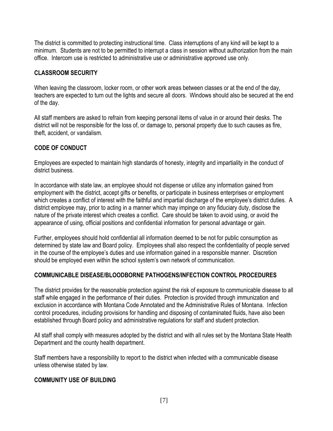The district is committed to protecting instructional time. Class interruptions of any kind will be kept to a minimum. Students are not to be permitted to interrupt a class in session without authorization from the main office. Intercom use is restricted to administrative use or administrative approved use only.

### **CLASSROOM SECURITY**

When leaving the classroom, locker room, or other work areas between classes or at the end of the day, teachers are expected to turn out the lights and secure all doors. Windows should also be secured at the end of the day.

All staff members are asked to refrain from keeping personal items of value in or around their desks. The district will not be responsible for the loss of, or damage to, personal property due to such causes as fire, theft, accident, or vandalism.

### **CODE OF CONDUCT**

Employees are expected to maintain high standards of honesty, integrity and impartiality in the conduct of district business.

In accordance with state law, an employee should not dispense or utilize any information gained from employment with the district, accept gifts or benefits, or participate in business enterprises or employment which creates a conflict of interest with the faithful and impartial discharge of the employee's district duties. A district employee may, prior to acting in a manner which may impinge on any fiduciary duty, disclose the nature of the private interest which creates a conflict. Care should be taken to avoid using, or avoid the appearance of using, official positions and confidential information for personal advantage or gain.

Further, employees should hold confidential all information deemed to be not for public consumption as determined by state law and Board policy. Employees shall also respect the confidentiality of people served in the course of the employee's duties and use information gained in a responsible manner. Discretion should be employed even within the school system's own network of communication.

### **COMMUNICABLE DISEASE/BLOODBORNE PATHOGENS/INFECTION CONTROL PROCEDURES**

The district provides for the reasonable protection against the risk of exposure to communicable disease to all staff while engaged in the performance of their duties. Protection is provided through immunization and exclusion in accordance with Montana Code Annotated and the Administrative Rules of Montana. Infection control procedures, including provisions for handling and disposing of contaminated fluids, have also been established through Board policy and administrative regulations for staff and student protection.

All staff shall comply with measures adopted by the district and with all rules set by the Montana State Health Department and the county health department.

Staff members have a responsibility to report to the district when infected with a communicable disease unless otherwise stated by law.

### **COMMUNITY USE OF BUILDING**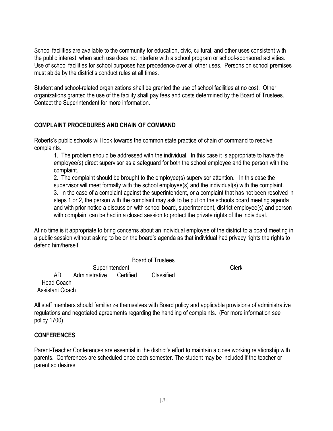School facilities are available to the community for education, civic, cultural, and other uses consistent with the public interest, when such use does not interfere with a school program or school-sponsored activities. Use of school facilities for school purposes has precedence over all other uses. Persons on school premises must abide by the district's conduct rules at all times.

Student and school-related organizations shall be granted the use of school facilities at no cost. Other organizations granted the use of the facility shall pay fees and costs determined by the Board of Trustees. Contact the Superintendent for more information.

# **COMPLAINT PROCEDURES AND CHAIN OF COMMAND**

Roberts's public schools will look towards the common state practice of chain of command to resolve complaints.

1. The problem should be addressed with the individual. In this case it is appropriate to have the employee(s) direct supervisor as a safeguard for both the school employee and the person with the complaint.

2. The complaint should be brought to the employee(s) supervisor attention. In this case the supervisor will meet formally with the school employee(s) and the individual(s) with the complaint. 3. In the case of a complaint against the superintendent, or a complaint that has not been resolved in steps 1 or 2, the person with the complaint may ask to be put on the schools board meeting agenda and with prior notice a discussion with school board, superintendent, district employee(s) and person with complaint can be had in a closed session to protect the private rights of the individual.

At no time is it appropriate to bring concerns about an individual employee of the district to a board meeting in a public session without asking to be on the board's agenda as that individual had privacy rights the rights to defend him/herself.

Board of Trustees Superintendent Clerk AD Administrative Certified Classified Head Coach Assistant Coach

All staff members should familiarize themselves with Board policy and applicable provisions of administrative regulations and negotiated agreements regarding the handling of complaints. (For more information see policy 1700)

# **CONFERENCES**

Parent-Teacher Conferences are essential in the district's effort to maintain a close working relationship with parents. Conferences are scheduled once each semester. The student may be included if the teacher or parent so desires.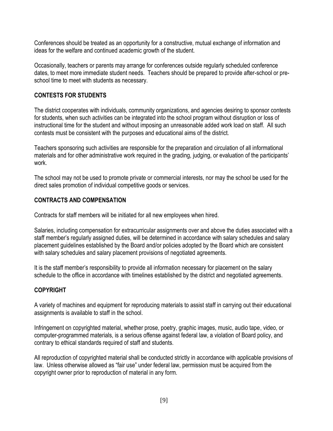Conferences should be treated as an opportunity for a constructive, mutual exchange of information and ideas for the welfare and continued academic growth of the student.

Occasionally, teachers or parents may arrange for conferences outside regularly scheduled conference dates, to meet more immediate student needs. Teachers should be prepared to provide after-school or preschool time to meet with students as necessary.

# **CONTESTS FOR STUDENTS**

The district cooperates with individuals, community organizations, and agencies desiring to sponsor contests for students, when such activities can be integrated into the school program without disruption or loss of instructional time for the student and without imposing an unreasonable added work load on staff. All such contests must be consistent with the purposes and educational aims of the district.

Teachers sponsoring such activities are responsible for the preparation and circulation of all informational materials and for other administrative work required in the grading, judging, or evaluation of the participants' work.

The school may not be used to promote private or commercial interests, nor may the school be used for the direct sales promotion of individual competitive goods or services.

# **CONTRACTS AND COMPENSATION**

Contracts for staff members will be initiated for all new employees when hired.

Salaries, including compensation for extracurricular assignments over and above the duties associated with a staff member's regularly assigned duties, will be determined in accordance with salary schedules and salary placement guidelines established by the Board and/or policies adopted by the Board which are consistent with salary schedules and salary placement provisions of negotiated agreements.

It is the staff member's responsibility to provide all information necessary for placement on the salary schedule to the office in accordance with timelines established by the district and negotiated agreements.

# **COPYRIGHT**

A variety of machines and equipment for reproducing materials to assist staff in carrying out their educational assignments is available to staff in the school.

Infringement on copyrighted material, whether prose, poetry, graphic images, music, audio tape, video, or computer-programmed materials, is a serious offense against federal law, a violation of Board policy, and contrary to ethical standards required of staff and students.

All reproduction of copyrighted material shall be conducted strictly in accordance with applicable provisions of law. Unless otherwise allowed as "fair use" under federal law, permission must be acquired from the copyright owner prior to reproduction of material in any form.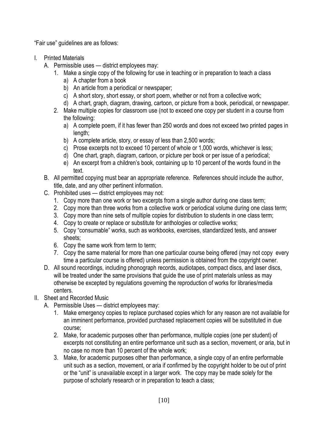"Fair use" guidelines are as follows:

- I. Printed Materials
	- A. Permissible uses district employees may:
		- 1. Make a single copy of the following for use in teaching or in preparation to teach a class
			- a) A chapter from a book
			- b) An article from a periodical or newspaper;
			- c) A short story, short essay, or short poem, whether or not from a collective work;
			- d) A chart, graph, diagram, drawing, cartoon, or picture from a book, periodical, or newspaper.
		- 2. Make multiple copies for classroom use (not to exceed one copy per student in a course from the following:
			- a) A complete poem, if it has fewer than 250 words and does not exceed two printed pages in length:
			- b) A complete article, story, or essay of less than 2,500 words;
			- c) Prose excerpts not to exceed 10 percent of whole or 1,000 words, whichever is less;
			- d) One chart, graph, diagram, cartoon, or picture per book or per issue of a periodical;
			- e) An excerpt from a children's book, containing up to 10 percent of the words found in the text.
	- B. All permitted copying must bear an appropriate reference. References should include the author, title, date, and any other pertinent information.
	- C. Prohibited uses district employees may not:
		- 1. Copy more than one work or two excerpts from a single author during one class term;
		- 2. Copy more than three works from a collective work or periodical volume during one class term;
		- 3. Copy more than nine sets of multiple copies for distribution to students in one class term;
		- 4. Copy to create or replace or substitute for anthologies or collective works;
		- 5. Copy "consumable" works, such as workbooks, exercises, standardized tests, and answer sheets;
		- 6. Copy the same work from term to term;
		- 7. Copy the same material for more than one particular course being offered (may not copy every time a particular course is offered) unless permission is obtained from the copyright owner.
	- D. All sound recordings, including phonograph records, audiotapes, compact discs, and laser discs, will be treated under the same provisions that guide the use of print materials unless as may otherwise be excepted by regulations governing the reproduction of works for libraries/media centers.
- II. Sheet and Recorded Music
	- A. Permissible Uses district employees may:
		- 1. Make emergency copies to replace purchased copies which for any reason are not available for an imminent performance, provided purchased replacement copies will be substituted in due course;
		- 2. Make, for academic purposes other than performance, multiple copies (one per student) of excerpts not constituting an entire performance unit such as a section, movement, or aria, but in no case no more than 10 percent of the whole work;
		- 3. Make, for academic purposes other than performance, a single copy of an entire performable unit such as a section, movement, or aria if confirmed by the copyright holder to be out of print or the "unit" is unavailable except in a larger work. The copy may be made solely for the purpose of scholarly research or in preparation to teach a class;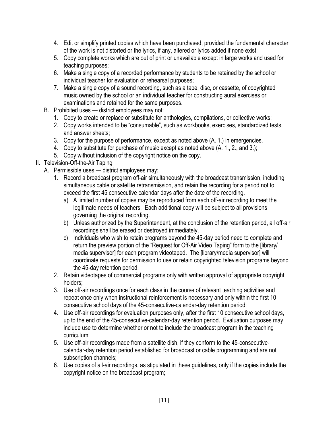- 4. Edit or simplify printed copies which have been purchased, provided the fundamental character of the work is not distorted or the lyrics, if any, altered or lyrics added if none exist;
- 5. Copy complete works which are out of print or unavailable except in large works and used for teaching purposes;
- 6. Make a single copy of a recorded performance by students to be retained by the school or individual teacher for evaluation or rehearsal purposes;
- 7. Make a single copy of a sound recording, such as a tape, disc, or cassette, of copyrighted music owned by the school or an individual teacher for constructing aural exercises or examinations and retained for the same purposes.
- B. Prohibited uses district employees may not:
	- 1. Copy to create or replace or substitute for anthologies, compilations, or collective works;
	- 2. Copy works intended to be "consumable", such as workbooks, exercises, standardized tests, and answer sheets;
	- 3. Copy for the purpose of performance, except as noted above (A. 1.) in emergencies.
	- 4. Copy to substitute for purchase of music except as noted above (A. 1., 2., and 3.);
	- 5. Copy without inclusion of the copyright notice on the copy.

# III. Television-Off-the-Air Taping

- A. Permissible uses district employees may:
	- 1. Record a broadcast program off-air simultaneously with the broadcast transmission, including simultaneous cable or satellite retransmission, and retain the recording for a period not to exceed the first 45 consecutive calendar days after the date of the recording.
		- a) A limited number of copies may be reproduced from each off-air recording to meet the legitimate needs of teachers. Each additional copy will be subject to all provisions governing the original recording.
		- b) Unless authorized by the Superintendent, at the conclusion of the retention period, all off-air recordings shall be erased or destroyed immediately.
		- c) Individuals who wish to retain programs beyond the 45-day period need to complete and return the preview portion of the "Request for Off-Air Video Taping" form to the [library/ media supervisor] for each program videotaped. The [library/media supervisor] will coordinate requests for permission to use or retain copyrighted television programs beyond the 45-day retention period.
	- 2. Retain videotapes of commercial programs only with written approval of appropriate copyright holders;
	- 3. Use off-air recordings once for each class in the course of relevant teaching activities and repeat once only when instructional reinforcement is necessary and only within the first 10 consecutive school days of the 45-consecutive-calendar-day retention period;
	- 4. Use off-air recordings for evaluation purposes only, after the first 10 consecutive school days, up to the end of the 45-consecutive-calendar-day retention period. Evaluation purposes may include use to determine whether or not to include the broadcast program in the teaching curriculum;
	- 5. Use off-air recordings made from a satellite dish, if they conform to the 45-consecutivecalendar-day retention period established for broadcast or cable programming and are not subscription channels;
	- 6. Use copies of all-air recordings, as stipulated in these guidelines, only if the copies include the copyright notice on the broadcast program;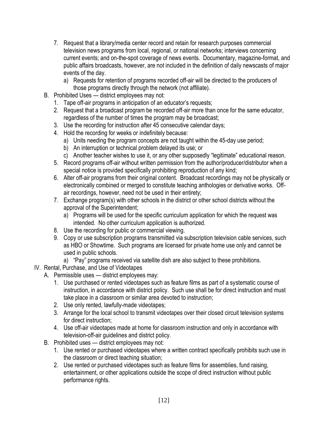- 7. Request that a library/media center record and retain for research purposes commercial television news programs from local, regional, or national networks; interviews concerning current events; and on-the-spot coverage of news events. Documentary, magazine-format, and public affairs broadcasts, however, are not included in the definition of daily newscasts of major events of the day.
	- a) Requests for retention of programs recorded off-air will be directed to the producers of those programs directly through the network (not affiliate).
- B. Prohibited Uses district employees may not:
	- 1. Tape off-air programs in anticipation of an educator's requests;
	- 2. Request that a broadcast program be recorded off-air more than once for the same educator, regardless of the number of times the program may be broadcast;
	- 3. Use the recording for instruction after 45 consecutive calendar days;
	- 4. Hold the recording for weeks or indefinitely because:
		- a) Units needing the program concepts are not taught within the 45-day use period;
		- b) An interruption or technical problem delayed its use; or
		- c) Another teacher wishes to use it, or any other supposedly "legitimate" educational reason.
	- 5. Record programs off-air without written permission from the author/producer/distributor when a special notice is provided specifically prohibiting reproduction of any kind;
	- 6. Alter off-air programs from their original content. Broadcast recordings may not be physically or electronically combined or merged to constitute teaching anthologies or derivative works. Offair recordings, however, need not be used in their entirety;
	- 7. Exchange program(s) with other schools in the district or other school districts without the approval of the Superintendent;
		- a) Programs will be used for the specific curriculum application for which the request was intended. No other curriculum application is authorized.
	- 8. Use the recording for public or commercial viewing.
	- 9. Copy or use subscription programs transmitted via subscription television cable services, such as HBO or Showtime. Such programs are licensed for private home use only and cannot be used in public schools.
		- a) "Pay" programs received via satellite dish are also subject to these prohibitions.
- IV. Rental, Purchase, and Use of Videotapes
	- A. Permissible uses district employees may:
		- 1. Use purchased or rented videotapes such as feature films as part of a systematic course of instruction, in accordance with district policy. Such use shall be for direct instruction and must take place in a classroom or similar area devoted to instruction;
		- 2. Use only rented, lawfully-made videotapes;
		- 3. Arrange for the local school to transmit videotapes over their closed circuit television systems for direct instruction;
		- 4. Use off-air videotapes made at home for classroom instruction and only in accordance with television-off-air guidelines and district policy.
	- B. Prohibited uses district employees may not:
		- 1. Use rented or purchased videotapes where a written contract specifically prohibits such use in the classroom or direct teaching situation;
		- 2. Use rented or purchased videotapes such as feature films for assemblies, fund raising, entertainment, or other applications outside the scope of direct instruction without public performance rights.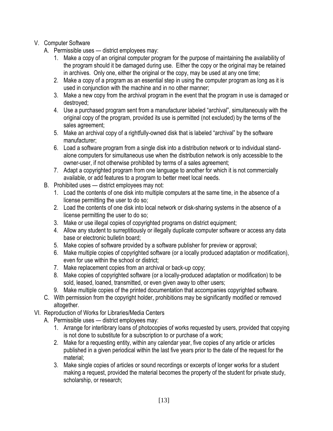# V. Computer Software

- A. Permissible uses district employees may:
	- 1. Make a copy of an original computer program for the purpose of maintaining the availability of the program should it be damaged during use. Either the copy or the original may be retained in archives. Only one, either the original or the copy, may be used at any one time;
	- 2. Make a copy of a program as an essential step in using the computer program as long as it is used in conjunction with the machine and in no other manner;
	- 3. Make a new copy from the archival program in the event that the program in use is damaged or destroyed;
	- 4. Use a purchased program sent from a manufacturer labeled "archival", simultaneously with the original copy of the program, provided its use is permitted (not excluded) by the terms of the sales agreement;
	- 5. Make an archival copy of a rightfully-owned disk that is labeled "archival" by the software manufacturer;
	- 6. Load a software program from a single disk into a distribution network or to individual standalone computers for simultaneous use when the distribution network is only accessible to the owner-user, if not otherwise prohibited by terms of a sales agreement;
	- 7. Adapt a copyrighted program from one language to another for which it is not commercially available, or add features to a program to better meet local needs.
- B. Prohibited uses district employees may not:
	- 1. Load the contents of one disk into multiple computers at the same time, in the absence of a license permitting the user to do so;
	- 2. Load the contents of one disk into local network or disk-sharing systems in the absence of a license permitting the user to do so;
	- 3. Make or use illegal copies of copyrighted programs on district equipment;
	- 4. Allow any student to surreptitiously or illegally duplicate computer software or access any data base or electronic bulletin board;
	- 5. Make copies of software provided by a software publisher for preview or approval;
	- 6. Make multiple copies of copyrighted software (or a locally produced adaptation or modification), even for use within the school or district;
	- 7. Make replacement copies from an archival or back-up copy;
	- 8. Make copies of copyrighted software (or a locally-produced adaptation or modification) to be sold, leased, loaned, transmitted, or even given away to other users;
	- 9. Make multiple copies of the printed documentation that accompanies copyrighted software.
- C. With permission from the copyright holder, prohibitions may be significantly modified or removed altogether.
- VI. Reproduction of Works for Libraries/Media Centers
	- A. Permissible uses district employees may:
		- 1. Arrange for interlibrary loans of photocopies of works requested by users, provided that copying is not done to substitute for a subscription to or purchase of a work;
		- 2. Make for a requesting entity, within any calendar year, five copies of any article or articles published in a given periodical within the last five years prior to the date of the request for the material;
		- 3. Make single copies of articles or sound recordings or excerpts of longer works for a student making a request, provided the material becomes the property of the student for private study, scholarship, or research;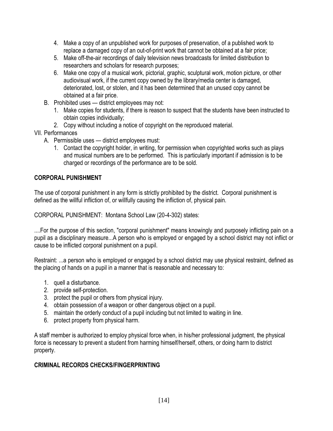- 4. Make a copy of an unpublished work for purposes of preservation, of a published work to replace a damaged copy of an out-of-print work that cannot be obtained at a fair price;
- 5. Make off-the-air recordings of daily television news broadcasts for limited distribution to researchers and scholars for research purposes;
- 6. Make one copy of a musical work, pictorial, graphic, sculptural work, motion picture, or other audiovisual work, if the current copy owned by the library/media center is damaged, deteriorated, lost, or stolen, and it has been determined that an unused copy cannot be obtained at a fair price.
- B. Prohibited uses district employees may not:
	- 1. Make copies for students, if there is reason to suspect that the students have been instructed to obtain copies individually;
	- 2. Copy without including a notice of copyright on the reproduced material.

# VII. Performances

- A. Permissible uses district employees must:
	- 1. Contact the copyright holder, in writing, for permission when copyrighted works such as plays and musical numbers are to be performed. This is particularly important if admission is to be charged or recordings of the performance are to be sold.

# **CORPORAL PUNISHMENT**

The use of corporal punishment in any form is strictly prohibited by the district. Corporal punishment is defined as the willful infliction of, or willfully causing the infliction of, physical pain.

CORPORAL PUNISHMENT: Montana School Law (20-4-302) states:

....For the purpose of this section, "corporal punishment" means knowingly and purposely inflicting pain on a pupil as a disciplinary measure...A person who is employed or engaged by a school district may not inflict or cause to be inflicted corporal punishment on a pupil.

Restraint: ...a person who is employed or engaged by a school district may use physical restraint, defined as the placing of hands on a pupil in a manner that is reasonable and necessary to:

- 1. quell a disturbance.
- 2. provide self-protection.
- 3. protect the pupil or others from physical injury.
- 4. obtain possession of a weapon or other dangerous object on a pupil.
- 5. maintain the orderly conduct of a pupil including but not limited to waiting in line.
- 6. protect property from physical harm.

A staff member is authorized to employ physical force when, in his/her professional judgment, the physical force is necessary to prevent a student from harming himself/herself, others, or doing harm to district property.

# **CRIMINAL RECORDS CHECKS/FINGERPRINTING**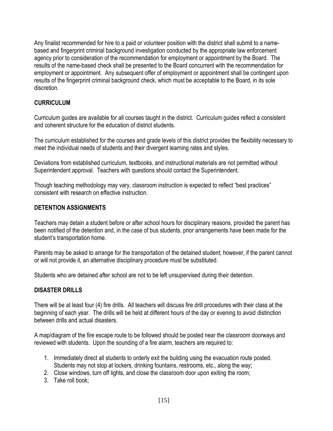Any finalist recommended for hire to a paid or volunteer position with the district shall submit to a namebased and fingerprint criminal background investigation conducted by the appropriate law enforcement agency prior to consideration of the recommendation for employment or appointment by the Board. The results of the name-based check shall be presented to the Board concurrent with the recommendation for employment or appointment. Any subsequent offer of employment or appointment shall be contingent upon results of the fingerprint criminal background check, which must be acceptable to the Board, in its sole discretion.

# **CURRICULUM**

Curriculum guides are available for all courses taught in the district. Curriculum guides reflect a consistent and coherent structure for the education of district students.

The curriculum established for the courses and grade levels of this district provides the flexibility necessary to meet the individual needs of students and their divergent learning rates and styles.

Deviations from established curriculum, textbooks, and instructional materials are not permitted without Superintendent approval. Teachers with questions should contact the Superintendent.

Though teaching methodology may vary, classroom instruction is expected to reflect "best practices" consistent with research on effective instruction.

# **DETENTION ASSIGNMENTS**

Teachers may detain a student before or after school hours for disciplinary reasons, provided the parent has been notified of the detention and, in the case of bus students, prior arrangements have been made for the student's transportation home.

Parents may be asked to arrange for the transportation of the detained student; however, if the parent cannot or will not provide it, an alternative disciplinary procedure must be substituted.

Students who are detained after school are not to be left unsupervised during their detention.

# **DISASTER DRILLS**

There will be at least four (4) fire drills. All teachers will discuss fire drill procedures with their class at the beginning of each year. The drills will be held at different hours of the day or evening to avoid distinction between drills and actual disasters.

A map/diagram of the fire escape route to be followed should be posted near the classroom doorways and reviewed with students. Upon the sounding of a fire alarm, teachers are required to:

- 1. Immediately direct all students to orderly exit the building using the evacuation route posted. Students may not stop at lockers, drinking fountains, restrooms, etc., along the way;
- 2. Close windows, turn off lights, and close the classroom door upon exiting the room;
- 3. Take roll book;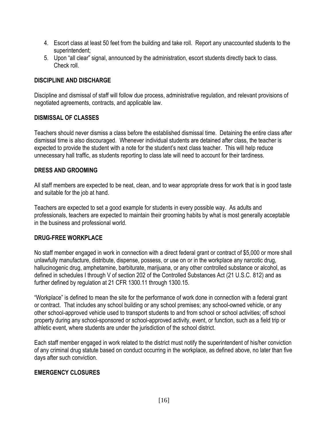- 4. Escort class at least 50 feet from the building and take roll. Report any unaccounted students to the superintendent;
- 5. Upon "all clear" signal, announced by the administration, escort students directly back to class. Check roll.

### **DISCIPLINE AND DISCHARGE**

Discipline and dismissal of staff will follow due process, administrative regulation, and relevant provisions of negotiated agreements, contracts, and applicable law.

### **DISMISSAL OF CLASSES**

Teachers should never dismiss a class before the established dismissal time. Detaining the entire class after dismissal time is also discouraged. Whenever individual students are detained after class, the teacher is expected to provide the student with a note for the student's next class teacher. This will help reduce unnecessary hall traffic, as students reporting to class late will need to account for their tardiness.

### **DRESS AND GROOMING**

All staff members are expected to be neat, clean, and to wear appropriate dress for work that is in good taste and suitable for the job at hand.

Teachers are expected to set a good example for students in every possible way. As adults and professionals, teachers are expected to maintain their grooming habits by what is most generally acceptable in the business and professional world.

### **DRUG-FREE WORKPLACE**

No staff member engaged in work in connection with a direct federal grant or contract of \$5,000 or more shall unlawfully manufacture, distribute, dispense, possess, or use on or in the workplace any narcotic drug, hallucinogenic drug, amphetamine, barbiturate, marijuana, or any other controlled substance or alcohol, as defined in schedules I through V of section 202 of the Controlled Substances Act (21 U.S.C. 812) and as further defined by regulation at 21 CFR 1300.11 through 1300.15.

"Workplace" is defined to mean the site for the performance of work done in connection with a federal grant or contract. That includes any school building or any school premises; any school-owned vehicle, or any other school-approved vehicle used to transport students to and from school or school activities; off school property during any school-sponsored or school-approved activity, event, or function, such as a field trip or athletic event, where students are under the jurisdiction of the school district.

Each staff member engaged in work related to the district must notify the superintendent of his/her conviction of any criminal drug statute based on conduct occurring in the workplace, as defined above, no later than five days after such conviction.

# **EMERGENCY CLOSURES**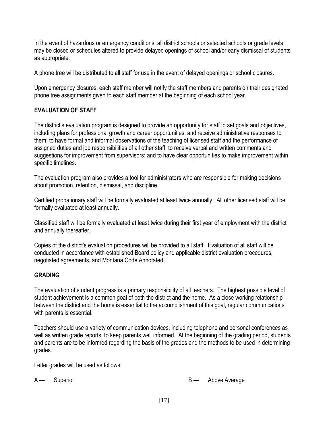In the event of hazardous or emergency conditions, all district schools or selected schools or grade levels may be closed or schedules altered to provide delayed openings of school and/or early dismissal of students as appropriate.

A phone tree will be distributed to all staff for use in the event of delayed openings or school closures.

Upon emergency closures, each staff member will notify the staff members and parents on their designated phone tree assignments given to each staff member at the beginning of each school year.

### **EVALUATION OF STAFF**

The district's evaluation program is designed to provide an opportunity for staff to set goals and objectives, including plans for professional growth and career opportunities, and receive administrative responses to them; to have formal and informal observations of the teaching of licensed staff and the performance of assigned duties and job responsibilities of all other staff; to receive verbal and written comments and suggestions for improvement from supervisors; and to have clear opportunities to make improvement within specific timelines.

The evaluation program also provides a tool for administrators who are responsible for making decisions about promotion, retention, dismissal, and discipline.

Certified probationary staff will be formally evaluated at least twice annually. All other licensed staff will be formally evaluated at least annually.

Classified staff will be formally evaluated at least twice during their first year of employment with the district and annually thereafter.

Copies of the district's evaluation procedures will be provided to all staff. Evaluation of all staff will be conducted in accordance with established Board policy and applicable district evaluation procedures, negotiated agreements, and Montana Code Annotated.

### **GRADING**

The evaluation of student progress is a primary responsibility of all teachers. The highest possible level of student achievement is a common goal of both the district and the home. As a close working relationship between the district and the home is essential to the accomplishment of this goal, regular communications with parents is essential.

Teachers should use a variety of communication devices, including telephone and personal conferences as well as written grade reports, to keep parents well informed. At the beginning of the grading period, students and parents are to be informed regarding the basis of the grades and the methods to be used in determining grades.

Letter grades will be used as follows:

A — Superior **B** — Above Average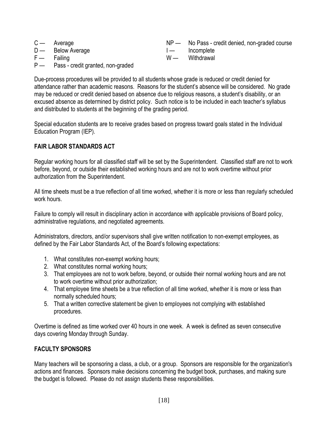|               | $C -$ Average     | NP — No Pass - credit denied, non-graded course |
|---------------|-------------------|-------------------------------------------------|
|               | $D$ Below Average | I incomplete                                    |
| $F -$ Failing |                   | W — Withdrawal                                  |

P — Pass - credit granted, non-graded

Due-process procedures will be provided to all students whose grade is reduced or credit denied for attendance rather than academic reasons. Reasons for the student's absence will be considered. No grade may be reduced or credit denied based on absence due to religious reasons, a student's disability, or an excused absence as determined by district policy. Such notice is to be included in each teacher's syllabus and distributed to students at the beginning of the grading period.

Special education students are to receive grades based on progress toward goals stated in the Individual Education Program (IEP).

# **FAIR LABOR STANDARDS ACT**

Regular working hours for all classified staff will be set by the Superintendent. Classified staff are not to work before, beyond, or outside their established working hours and are not to work overtime without prior authorization from the Superintendent.

All time sheets must be a true reflection of all time worked, whether it is more or less than regularly scheduled work hours.

Failure to comply will result in disciplinary action in accordance with applicable provisions of Board policy, administrative regulations, and negotiated agreements.

Administrators, directors, and/or supervisors shall give written notification to non-exempt employees, as defined by the Fair Labor Standards Act, of the Board's following expectations:

- 1. What constitutes non-exempt working hours;
- 2. What constitutes normal working hours;
- 3. That employees are not to work before, beyond, or outside their normal working hours and are not to work overtime without prior authorization;
- 4. That employee time sheets be a true reflection of all time worked, whether it is more or less than normally scheduled hours;
- 5. That a written corrective statement be given to employees not complying with established procedures.

Overtime is defined as time worked over 40 hours in one week. A week is defined as seven consecutive days covering Monday through Sunday.

# **FACULTY SPONSORS**

Many teachers will be sponsoring a class, a club, or a group. Sponsors are responsible for the organization's actions and finances. Sponsors make decisions concerning the budget book, purchases, and making sure the budget is followed. Please do not assign students these responsibilities.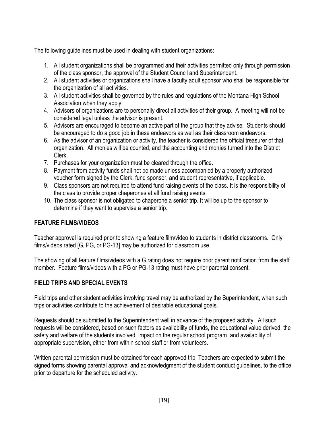The following guidelines must be used in dealing with student organizations:

- 1. All student organizations shall be programmed and their activities permitted only through permission of the class sponsor, the approval of the Student Council and Superintendent.
- 2. All student activities or organizations shall have a faculty adult sponsor who shall be responsible for the organization of all activities.
- 3. All student activities shall be governed by the rules and regulations of the Montana High School Association when they apply.
- 4. Advisors of organizations are to personally direct all activities of their group. A meeting will not be considered legal unless the advisor is present.
- 5. Advisors are encouraged to become an active part of the group that they advise. Students should be encouraged to do a good job in these endeavors as well as their classroom endeavors.
- 6. As the advisor of an organization or activity, the teacher is considered the official treasurer of that organization. All monies will be counted, and the accounting and monies turned into the District Clerk.
- 7. Purchases for your organization must be cleared through the office.
- 8. Payment from activity funds shall not be made unless accompanied by a properly authorized voucher form signed by the Clerk, fund sponsor, and student representative, if applicable.
- 9. Class sponsors are not required to attend fund raising events of the class. It is the responsibility of the class to provide proper chaperones at all fund raising events.
- 10. The class sponsor is not obligated to chaperone a senior trip. It will be up to the sponsor to determine if they want to supervise a senior trip.

# **FEATURE FILMS/VIDEOS**

Teacher approval is required prior to showing a feature film/video to students in district classrooms. Only films/videos rated [G, PG, or PG-13] may be authorized for classroom use.

The showing of all feature films/videos with a G rating does not require prior parent notification from the staff member. Feature films/videos with a PG or PG-13 rating must have prior parental consent.

# **FIELD TRIPS AND SPECIAL EVENTS**

Field trips and other student activities involving travel may be authorized by the Superintendent, when such trips or activities contribute to the achievement of desirable educational goals.

Requests should be submitted to the Superintendent well in advance of the proposed activity. All such requests will be considered, based on such factors as availability of funds, the educational value derived, the safety and welfare of the students involved, impact on the regular school program, and availability of appropriate supervision, either from within school staff or from volunteers.

Written parental permission must be obtained for each approved trip. Teachers are expected to submit the signed forms showing parental approval and acknowledgment of the student conduct guidelines, to the office prior to departure for the scheduled activity.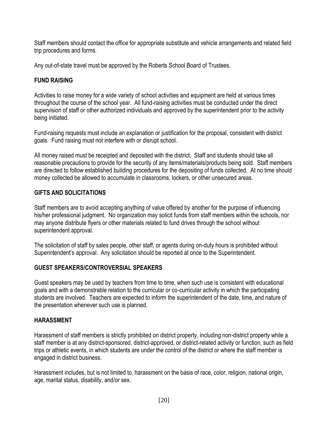Staff members should contact the office for appropriate substitute and vehicle arrangements and related field trip procedures and forms.

Any out-of-state travel must be approved by the Roberts School Board of Trustees.

# **FUND RAISING**

Activities to raise money for a wide variety of school activities and equipment are held at various times throughout the course of the school year. All fund-raising activities must be conducted under the direct supervision of staff or other authorized individuals and approved by the superintendent prior to the activity being initiated.

Fund-raising requests must include an explanation or justification for the proposal, consistent with district goals. Fund raising must not interfere with or disrupt school.

All money raised must be receipted and deposited with the district. Staff and students should take all reasonable precautions to provide for the security of any items/materials/products being sold. Staff members are directed to follow established building procedures for the depositing of funds collected. At no time should money collected be allowed to accumulate in classrooms, lockers, or other unsecured areas.

### **GIFTS AND SOLICITATIONS**

Staff members are to avoid accepting anything of value offered by another for the purpose of influencing his/her professional judgment. No organization may solicit funds from staff members within the schools, nor may anyone distribute flyers or other materials related to fund drives through the school without superintendent approval.

The solicitation of staff by sales people, other staff, or agents during on-duty hours is prohibited without Superintendent's approval. Any solicitation should be reported at once to the Superintendent.

### **GUEST SPEAKERS/CONTROVERSIAL SPEAKERS**

Guest speakers may be used by teachers from time to time, when such use is consistent with educational goals and with a demonstrable relation to the curricular or co-curricular activity in which the participating students are involved. Teachers are expected to inform the superintendent of the date, time, and nature of the presentation whenever such use is planned.

# **HARASSMENT**

Harassment of staff members is strictly prohibited on district property, including non-district property while a staff member is at any district-sponsored, district-approved, or district-related activity or function, such as field trips or athletic events, in which students are under the control of the district or where the staff member is engaged in district business.

Harassment includes, but is not limited to, harassment on the basis of race, color, religion, national origin, age, marital status, disability, and/or sex.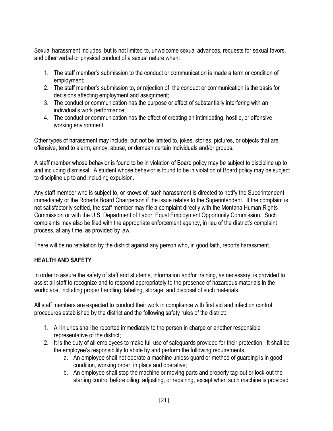Sexual harassment includes, but is not limited to, unwelcome sexual advances, requests for sexual favors, and other verbal or physical conduct of a sexual nature when:

- 1. The staff member's submission to the conduct or communication is made a term or condition of employment;
- 2. The staff member's submission to, or rejection of, the conduct or communication is the basis for decisions affecting employment and assignment;
- 3. The conduct or communication has the purpose or effect of substantially interfering with an individual's work performance;
- 4. The conduct or communication has the effect of creating an intimidating, hostile, or offensive working environment.

Other types of harassment may include, but not be limited to, jokes, stories, pictures, or objects that are offensive, tend to alarm, annoy, abuse, or demean certain individuals and/or groups.

A staff member whose behavior is found to be in violation of Board policy may be subject to discipline up to and including dismissal. A student whose behavior is found to be in violation of Board policy may be subject to discipline up to and including expulsion.

Any staff member who is subject to, or knows of, such harassment is directed to notify the Superintendent immediately or the Roberts Board Chairperson if the issue relates to the Superintendent. If the complaint is not satisfactorily settled, the staff member may file a complaint directly with the Montana Human Rights Commission or with the U.S. Department of Labor, Equal Employment Opportunity Commission. Such complaints may also be filed with the appropriate enforcement agency, in lieu of the district's complaint process, at any time, as provided by law.

There will be no retaliation by the district against any person who, in good faith, reports harassment.

# **HEALTH AND SAFETY**

In order to assure the safety of staff and students, information and/or training, as necessary, is provided to assist all staff to recognize and to respond appropriately to the presence of hazardous materials in the workplace, including proper handling, labeling, storage, and disposal of such materials.

All staff members are expected to conduct their work in compliance with first aid and infection control procedures established by the district and the following safety rules of the district:

- 1. All injuries shall be reported immediately to the person in charge or another responsible representative of the district;
- 2. It is the duty of all employees to make full use of safeguards provided for their protection. It shall be the employee's responsibility to abide by and perform the following requirements:
	- a. An employee shall not operate a machine unless guard or method of guarding is in good condition, working order, in place and operative;
	- b. An employee shall stop the machine or moving parts and properly tag-out or lock-out the starting control before oiling, adjusting, or repairing, except when such machine is provided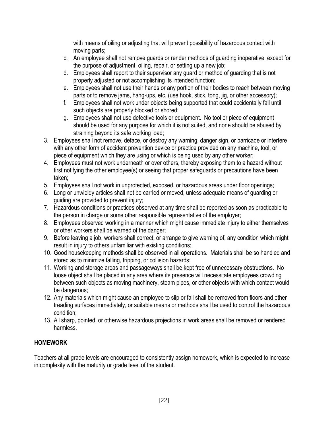with means of oiling or adjusting that will prevent possibility of hazardous contact with moving parts;

- c. An employee shall not remove guards or render methods of guarding inoperative, except for the purpose of adjustment, oiling, repair, or setting up a new job;
- d. Employees shall report to their supervisor any guard or method of guarding that is not properly adjusted or not accomplishing its intended function;
- e. Employees shall not use their hands or any portion of their bodies to reach between moving parts or to remove jams, hang-ups, etc. (use hook, stick, tong, jig, or other accessory);
- f. Employees shall not work under objects being supported that could accidentally fall until such objects are properly blocked or shored;
- g. Employees shall not use defective tools or equipment. No tool or piece of equipment should be used for any purpose for which it is not suited, and none should be abused by straining beyond its safe working load;
- 3. Employees shall not remove, deface, or destroy any warning, danger sign, or barricade or interfere with any other form of accident prevention device or practice provided on any machine, tool, or piece of equipment which they are using or which is being used by any other worker;
- 4. Employees must not work underneath or over others, thereby exposing them to a hazard without first notifying the other employee(s) or seeing that proper safeguards or precautions have been taken;
- 5. Employees shall not work in unprotected, exposed, or hazardous areas under floor openings;
- 6. Long or unwieldy articles shall not be carried or moved, unless adequate means of guarding or guiding are provided to prevent injury;
- 7. Hazardous conditions or practices observed at any time shall be reported as soon as practicable to the person in charge or some other responsible representative of the employer;
- 8. Employees observed working in a manner which might cause immediate injury to either themselves or other workers shall be warned of the danger;
- 9. Before leaving a job, workers shall correct, or arrange to give warning of, any condition which might result in injury to others unfamiliar with existing conditions;
- 10. Good housekeeping methods shall be observed in all operations. Materials shall be so handled and stored as to minimize falling, tripping, or collision hazards;
- 11. Working and storage areas and passageways shall be kept free of unnecessary obstructions. No loose object shall be placed in any area where its presence will necessitate employees crowding between such objects as moving machinery, steam pipes, or other objects with which contact would be dangerous;
- 12. Any materials which might cause an employee to slip or fall shall be removed from floors and other treading surfaces immediately, or suitable means or methods shall be used to control the hazardous condition;
- 13. All sharp, pointed, or otherwise hazardous projections in work areas shall be removed or rendered harmless.

# **HOMEWORK**

Teachers at all grade levels are encouraged to consistently assign homework, which is expected to increase in complexity with the maturity or grade level of the student.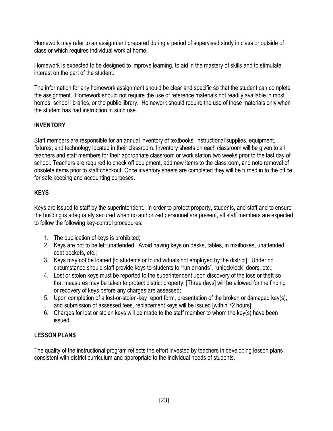Homework may refer to an assignment prepared during a period of supervised study in class or outside of class or which requires individual work at home.

Homework is expected to be designed to improve learning, to aid in the mastery of skills and to stimulate interest on the part of the student.

The information for any homework assignment should be clear and specific so that the student can complete the assignment. Homework should not require the use of reference materials not readily available in most homes, school libraries, or the public library. Homework should require the use of those materials only when the student has had instruction in such use.

# **INVENTORY**

Staff members are responsible for an annual inventory of textbooks, instructional supplies, equipment, fixtures, and technology located in their classroom. Inventory sheets on each classroom will be given to all teachers and staff members for their appropriate classroom or work station two weeks prior to the last day of school. Teachers are required to check off equipment, add new items to the classroom, and note removal of obsolete items prior to staff checkout. Once inventory sheets are completed they will be turned in to the office for safe keeping and accounting purposes.

# **KEYS**

Keys are issued to staff by the superintendent. In order to protect property, students, and staff and to ensure the building is adequately secured when no authorized personnel are present, all staff members are expected to follow the following key-control procedures:

- 1. The duplication of keys is prohibited;
- 2. Keys are not to be left unattended. Avoid having keys on desks, tables, in mailboxes, unattended coat pockets, etc.;
- 3. Keys may not be loaned [to students or to individuals not employed by the district]. Under no circumstance should staff provide keys to students to "run errands", "unlock/lock" doors, etc.;
- 4. Lost or stolen keys must be reported to the superintendent upon discovery of the loss or theft so that measures may be taken to protect district property. [Three days] will be allowed for the finding or recovery of keys before any charges are assessed;
- 5. Upon completion of a lost-or-stolen-key report form, presentation of the broken or damaged key(s), and submission of assessed fees, replacement keys will be issued [within 72 hours];
- 6. Charges for lost or stolen keys will be made to the staff member to whom the key(s) have been issued.

# **LESSON PLANS**

The quality of the instructional program reflects the effort invested by teachers in developing lesson plans consistent with district curriculum and appropriate to the individual needs of students.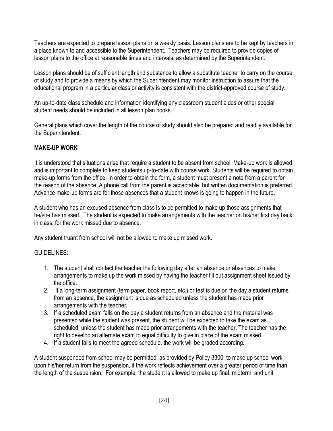Teachers are expected to prepare lesson plans on a weekly basis. Lesson plans are to be kept by teachers in a place known to and accessible to the Superintendent. Teachers may be required to provide copies of lesson plans to the office at reasonable times and intervals, as determined by the Superintendent.

Lesson plans should be of sufficient length and substance to allow a substitute teacher to carry on the course of study and to provide a means by which the Superintendent may monitor instruction to assure that the educational program in a particular class or activity is consistent with the district-approved course of study.

An up-to-date class schedule and information identifying any classroom student aides or other special student needs should be included in all lesson plan books.

General plans which cover the length of the course of study should also be prepared and readily available for the Superintendent.

# **MAKE-UP WORK**

It is understood that situations arise that require a student to be absent from school. Make-up work is allowed and is important to complete to keep students up-to-date with course work. Students will be required to obtain make-up forms from the office. In order to obtain the form, a student must present a note from a parent for the reason of the absence. A phone call from the parent is acceptable, but written documentation is preferred. Advance make-up forms are for those absences that a student knows is going to happen in the future.

A student who has an excused absence from class is to be permitted to make up those assignments that he/she has missed. The student is expected to make arrangements with the teacher on his/her first day back in class, for the work missed due to absence.

Any student truant from school will not be allowed to make up missed work.

# GUIDELINES:

- 1. The student shall contact the teacher the following day after an absence or absences to make arrangements to make up the work missed by having the teacher fill out assignment sheet issued by the office.
- 2. If a long-term assignment (term paper, book report, etc.) or test is due on the day a student returns from an absence, the assignment is due as scheduled unless the student has made prior arrangements with the teacher.
- 3. If a scheduled exam falls on the day a student returns from an absence and the material was presented while the student was present, the student will be expected to take the exam as scheduled, unless the student has made prior arrangements with the teacher. The teacher has the right to develop an alternate exam to equal difficulty to give in place of the exam missed.
- 4. If a student fails to meet the agreed schedule, the work will be graded according.

A student suspended from school may be permitted, as provided by Policy 3300, to make up school work upon his/her return from the suspension, if the work reflects achievement over a greater period of time than the length of the suspension. For example, the student is allowed to make up final, midterm, and unit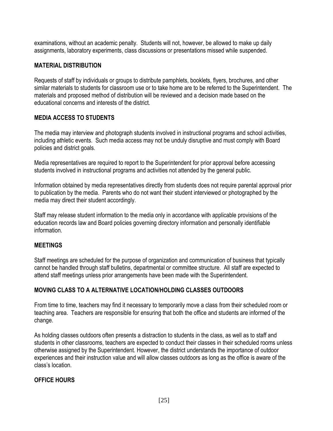examinations, without an academic penalty. Students will not, however, be allowed to make up daily assignments, laboratory experiments, class discussions or presentations missed while suspended.

### **MATERIAL DISTRIBUTION**

Requests of staff by individuals or groups to distribute pamphlets, booklets, flyers, brochures, and other similar materials to students for classroom use or to take home are to be referred to the Superintendent. The materials and proposed method of distribution will be reviewed and a decision made based on the educational concerns and interests of the district.

# **MEDIA ACCESS TO STUDENTS**

The media may interview and photograph students involved in instructional programs and school activities, including athletic events. Such media access may not be unduly disruptive and must comply with Board policies and district goals.

Media representatives are required to report to the Superintendent for prior approval before accessing students involved in instructional programs and activities not attended by the general public.

Information obtained by media representatives directly from students does not require parental approval prior to publication by the media. Parents who do not want their student interviewed or photographed by the media may direct their student accordingly.

Staff may release student information to the media only in accordance with applicable provisions of the education records law and Board policies governing directory information and personally identifiable information.

### **MEETINGS**

Staff meetings are scheduled for the purpose of organization and communication of business that typically cannot be handled through staff bulletins, departmental or committee structure. All staff are expected to attend staff meetings unless prior arrangements have been made with the Superintendent.

# **MOVING CLASS TO A ALTERNATIVE LOCATION/HOLDING CLASSES OUTDOORS**

From time to time, teachers may find it necessary to temporarily move a class from their scheduled room or teaching area. Teachers are responsible for ensuring that both the office and students are informed of the change.

As holding classes outdoors often presents a distraction to students in the class, as well as to staff and students in other classrooms, teachers are expected to conduct their classes in their scheduled rooms unless otherwise assigned by the Superintendent. However, the district understands the importance of outdoor experiences and their instruction value and will allow classes outdoors as long as the office is aware of the class's location.

### **OFFICE HOURS**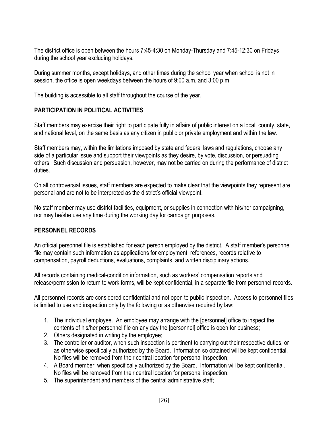The district office is open between the hours 7:45-4:30 on Monday-Thursday and 7:45-12:30 on Fridays during the school year excluding holidays.

During summer months, except holidays, and other times during the school year when school is not in session, the office is open weekdays between the hours of 9:00 a.m. and 3:00 p.m.

The building is accessible to all staff throughout the course of the year.

# **PARTICIPATION IN POLITICAL ACTIVITIES**

Staff members may exercise their right to participate fully in affairs of public interest on a local, county, state, and national level, on the same basis as any citizen in public or private employment and within the law.

Staff members may, within the limitations imposed by state and federal laws and regulations, choose any side of a particular issue and support their viewpoints as they desire, by vote, discussion, or persuading others. Such discussion and persuasion, however, may not be carried on during the performance of district duties.

On all controversial issues, staff members are expected to make clear that the viewpoints they represent are personal and are not to be interpreted as the district's official viewpoint.

No staff member may use district facilities, equipment, or supplies in connection with his/her campaigning, nor may he/she use any time during the working day for campaign purposes.

# **PERSONNEL RECORDS**

An official personnel file is established for each person employed by the district. A staff member's personnel file may contain such information as applications for employment, references, records relative to compensation, payroll deductions, evaluations, complaints, and written disciplinary actions.

All records containing medical-condition information, such as workers' compensation reports and release/permission to return to work forms, will be kept confidential, in a separate file from personnel records.

All personnel records are considered confidential and not open to public inspection. Access to personnel files is limited to use and inspection only by the following or as otherwise required by law:

- 1. The individual employee. An employee may arrange with the [personnel] office to inspect the contents of his/her personnel file on any day the [personnel] office is open for business;
- 2. Others designated in writing by the employee;
- 3. The controller or auditor, when such inspection is pertinent to carrying out their respective duties, or as otherwise specifically authorized by the Board. Information so obtained will be kept confidential. No files will be removed from their central location for personal inspection;
- 4. A Board member, when specifically authorized by the Board. Information will be kept confidential. No files will be removed from their central location for personal inspection;
- 5. The superintendent and members of the central administrative staff;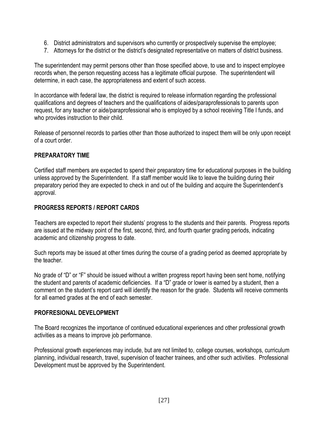- 6. District administrators and supervisors who currently or prospectively supervise the employee;
- 7. Attorneys for the district or the district's designated representative on matters of district business.

The superintendent may permit persons other than those specified above, to use and to inspect employee records when, the person requesting access has a legitimate official purpose. The superintendent will determine, in each case, the appropriateness and extent of such access.

In accordance with federal law, the district is required to release information regarding the professional qualifications and degrees of teachers and the qualifications of aides/paraprofessionals to parents upon request, for any teacher or aide/paraprofessional who is employed by a school receiving Title I funds, and who provides instruction to their child.

Release of personnel records to parties other than those authorized to inspect them will be only upon receipt of a court order.

# **PREPARATORY TIME**

Certified staff members are expected to spend their preparatory time for educational purposes in the building unless approved by the Superintendent. If a staff member would like to leave the building during their preparatory period they are expected to check in and out of the building and acquire the Superintendent's approval.

# **PROGRESS REPORTS / REPORT CARDS**

Teachers are expected to report their students' progress to the students and their parents. Progress reports are issued at the midway point of the first, second, third, and fourth quarter grading periods, indicating academic and citizenship progress to date.

Such reports may be issued at other times during the course of a grading period as deemed appropriate by the teacher.

No grade of "D" or "F" should be issued without a written progress report having been sent home, notifying the student and parents of academic deficiencies. If a "D" grade or lower is earned by a student, then a comment on the student's report card will identify the reason for the grade. Students will receive comments for all earned grades at the end of each semester.

# **PROFRESIONAL DEVELOPMENT**

The Board recognizes the importance of continued educational experiences and other professional growth activities as a means to improve job performance.

Professional growth experiences may include, but are not limited to, college courses, workshops, curriculum planning, individual research, travel, supervision of teacher trainees, and other such activities. Professional Development must be approved by the Superintendent.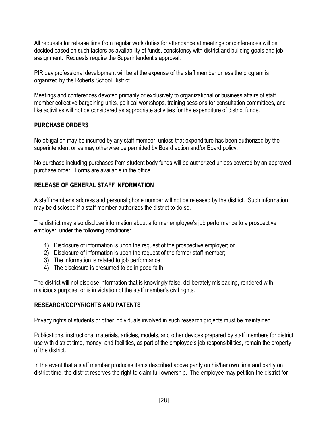All requests for release time from regular work duties for attendance at meetings or conferences will be decided based on such factors as availability of funds, consistency with district and building goals and job assignment. Requests require the Superintendent's approval.

PIR day professional development will be at the expense of the staff member unless the program is organized by the Roberts School District.

Meetings and conferences devoted primarily or exclusively to organizational or business affairs of staff member collective bargaining units, political workshops, training sessions for consultation committees, and like activities will not be considered as appropriate activities for the expenditure of district funds.

# **PURCHASE ORDERS**

No obligation may be incurred by any staff member, unless that expenditure has been authorized by the superintendent or as may otherwise be permitted by Board action and/or Board policy.

No purchase including purchases from student body funds will be authorized unless covered by an approved purchase order. Forms are available in the office.

# **RELEASE OF GENERAL STAFF INFORMATION**

A staff member's address and personal phone number will not be released by the district. Such information may be disclosed if a staff member authorizes the district to do so.

The district may also disclose information about a former employee's job performance to a prospective employer, under the following conditions:

- 1) Disclosure of information is upon the request of the prospective employer; or
- 2) Disclosure of information is upon the request of the former staff member;
- 3) The information is related to job performance;
- 4) The disclosure is presumed to be in good faith.

The district will not disclose information that is knowingly false, deliberately misleading, rendered with malicious purpose, or is in violation of the staff member's civil rights.

### **RESEARCH/COPYRIGHTS AND PATENTS**

Privacy rights of students or other individuals involved in such research projects must be maintained.

Publications, instructional materials, articles, models, and other devices prepared by staff members for district use with district time, money, and facilities, as part of the employee's job responsibilities, remain the property of the district.

In the event that a staff member produces items described above partly on his/her own time and partly on district time, the district reserves the right to claim full ownership. The employee may petition the district for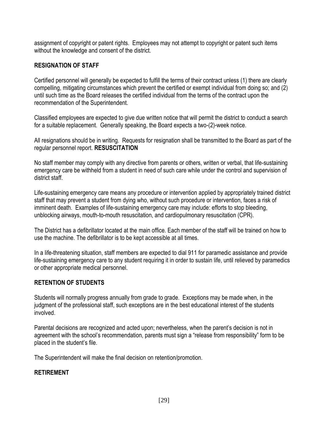assignment of copyright or patent rights. Employees may not attempt to copyright or patent such items without the knowledge and consent of the district.

### **RESIGNATION OF STAFF**

Certified personnel will generally be expected to fulfill the terms of their contract unless (1) there are clearly compelling, mitigating circumstances which prevent the certified or exempt individual from doing so; and (2) until such time as the Board releases the certified individual from the terms of the contract upon the recommendation of the Superintendent.

Classified employees are expected to give due written notice that will permit the district to conduct a search for a suitable replacement. Generally speaking, the Board expects a two-(2)-week notice.

All resignations should be in writing. Requests for resignation shall be transmitted to the Board as part of the regular personnel report. **RESUSCITATION**

No staff member may comply with any directive from parents or others, written or verbal, that life-sustaining emergency care be withheld from a student in need of such care while under the control and supervision of district staff.

Life-sustaining emergency care means any procedure or intervention applied by appropriately trained district staff that may prevent a student from dying who, without such procedure or intervention, faces a risk of imminent death. Examples of life-sustaining emergency care may include: efforts to stop bleeding, unblocking airways, mouth-to-mouth resuscitation, and cardiopulmonary resuscitation (CPR).

The District has a defibrillator located at the main office. Each member of the staff will be trained on how to use the machine. The defibrillator is to be kept accessible at all times.

In a life-threatening situation, staff members are expected to dial 911 for paramedic assistance and provide life-sustaining emergency care to any student requiring it in order to sustain life, until relieved by paramedics or other appropriate medical personnel.

### **RETENTION OF STUDENTS**

Students will normally progress annually from grade to grade. Exceptions may be made when, in the judgment of the professional staff, such exceptions are in the best educational interest of the students involved.

Parental decisions are recognized and acted upon; nevertheless, when the parent's decision is not in agreement with the school's recommendation, parents must sign a "release from responsibility" form to be placed in the student's file.

The Superintendent will make the final decision on retention/promotion.

### **RETIREMENT**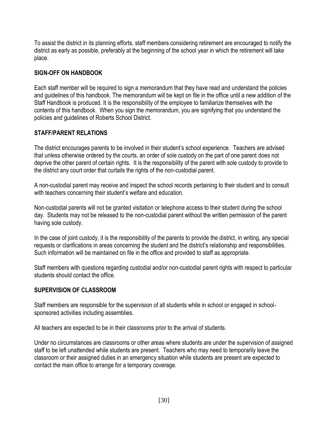To assist the district in its planning efforts, staff members considering retirement are encouraged to notify the district as early as possible, preferably at the beginning of the school year in which the retirement will take place.

### **SIGN-OFF ON HANDBOOK**

Each staff member will be required to sign a memorandum that they have read and understand the policies and guidelines of this handbook. The memorandum will be kept on file in the office until a new addition of the Staff Handbook is produced. It is the responsibility of the employee to familiarize themselves with the contents of this handbook. When you sign the memorandum, you are signifying that you understand the policies and guidelines of Roberts School District.

# **STAFF/PARENT RELATIONS**

The district encourages parents to be involved in their student's school experience. Teachers are advised that unless otherwise ordered by the courts, an order of sole custody on the part of one parent does not deprive the other parent of certain rights. It is the responsibility of the parent with sole custody to provide to the district any court order that curtails the rights of the non-custodial parent.

A non-custodial parent may receive and inspect the school records pertaining to their student and to consult with teachers concerning their student's welfare and education.

Non-custodial parents will not be granted visitation or telephone access to their student during the school day. Students may not be released to the non-custodial parent without the written permission of the parent having sole custody.

In the case of joint custody, it is the responsibility of the parents to provide the district, in writing, any special requests or clarifications in areas concerning the student and the district's relationship and responsibilities. Such information will be maintained on file in the office and provided to staff as appropriate.

Staff members with questions regarding custodial and/or non-custodial parent rights with respect to particular students should contact the office.

# **SUPERVISION OF CLASSROOM**

Staff members are responsible for the supervision of all students while in school or engaged in schoolsponsored activities including assemblies.

All teachers are expected to be in their classrooms prior to the arrival of students.

Under no circumstances are classrooms or other areas where students are under the supervision of assigned staff to be left unattended while students are present. Teachers who may need to temporarily leave the classroom or their assigned duties in an emergency situation while students are present are expected to contact the main office to arrange for a temporary coverage.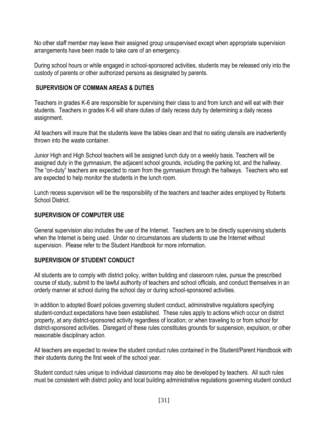No other staff member may leave their assigned group unsupervised except when appropriate supervision arrangements have been made to take care of an emergency.

During school hours or while engaged in school-sponsored activities, students may be released only into the custody of parents or other authorized persons as designated by parents.

### **SUPERVISION OF COMMAN AREAS & DUTIES**

Teachers in grades K-6 are responsible for supervising their class to and from lunch and will eat with their students. Teachers in grades K-6 will share duties of daily recess duty by determining a daily recess assignment.

All teachers will insure that the students leave the tables clean and that no eating utensils are inadvertently thrown into the waste container.

Junior High and High School teachers will be assigned lunch duty on a weekly basis. Teachers will be assigned duty in the gymnasium, the adjacent school grounds, including the parking lot, and the hallway. The "on-duty" teachers are expected to roam from the gymnasium through the hallways. Teachers who eat are expected to help monitor the students in the lunch room.

Lunch recess supervision will be the responsibility of the teachers and teacher aides employed by Roberts School District.

# **SUPERVISION OF COMPUTER USE**

General supervision also includes the use of the Internet. Teachers are to be directly supervising students when the Internet is being used. Under no circumstances are students to use the Internet without supervision. Please refer to the Student Handbook for more information.

# **SUPERVISION OF STUDENT CONDUCT**

All students are to comply with district policy, written building and classroom rules, pursue the prescribed course of study, submit to the lawful authority of teachers and school officials, and conduct themselves in an orderly manner at school during the school day or during school-sponsored activities.

In addition to adopted Board policies governing student conduct, administrative regulations specifying student-conduct expectations have been established. These rules apply to actions which occur on district property, at any district-sponsored activity regardless of location; or when traveling to or from school for district-sponsored activities. Disregard of these rules constitutes grounds for suspension, expulsion, or other reasonable disciplinary action.

All teachers are expected to review the student conduct rules contained in the Student/Parent Handbook with their students during the first week of the school year.

Student conduct rules unique to individual classrooms may also be developed by teachers. All such rules must be consistent with district policy and local building administrative regulations governing student conduct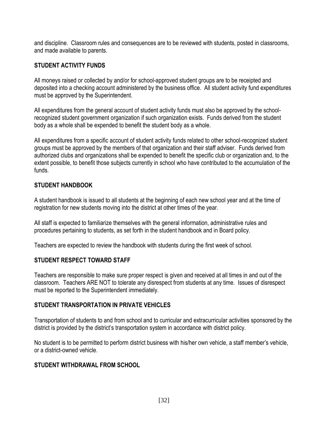and discipline. Classroom rules and consequences are to be reviewed with students, posted in classrooms, and made available to parents.

### **STUDENT ACTIVITY FUNDS**

All moneys raised or collected by and/or for school-approved student groups are to be receipted and deposited into a checking account administered by the business office. All student activity fund expenditures must be approved by the Superintendent.

All expenditures from the general account of student activity funds must also be approved by the schoolrecognized student government organization if such organization exists. Funds derived from the student body as a whole shall be expended to benefit the student body as a whole.

All expenditures from a specific account of student activity funds related to other school-recognized student groups must be approved by the members of that organization and their staff adviser. Funds derived from authorized clubs and organizations shall be expended to benefit the specific club or organization and, to the extent possible, to benefit those subjects currently in school who have contributed to the accumulation of the funds.

### **STUDENT HANDBOOK**

A student handbook is issued to all students at the beginning of each new school year and at the time of registration for new students moving into the district at other times of the year.

All staff is expected to familiarize themselves with the general information, administrative rules and procedures pertaining to students, as set forth in the student handbook and in Board policy.

Teachers are expected to review the handbook with students during the first week of school.

# **STUDENT RESPECT TOWARD STAFF**

Teachers are responsible to make sure proper respect is given and received at all times in and out of the classroom. Teachers ARE NOT to tolerate any disrespect from students at any time. Issues of disrespect must be reported to the Superintendent immediately.

### **STUDENT TRANSPORTATION IN PRIVATE VEHICLES**

Transportation of students to and from school and to curricular and extracurricular activities sponsored by the district is provided by the district's transportation system in accordance with district policy.

No student is to be permitted to perform district business with his/her own vehicle, a staff member's vehicle, or a district-owned vehicle.

# **STUDENT WITHDRAWAL FROM SCHOOL**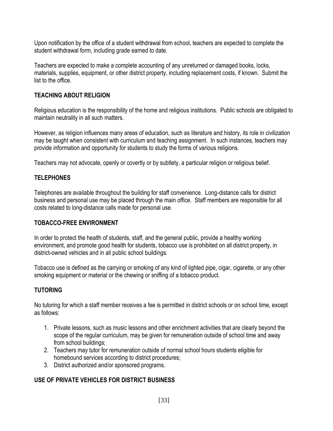Upon notification by the office of a student withdrawal from school, teachers are expected to complete the student withdrawal form, including grade earned to date.

Teachers are expected to make a complete accounting of any unreturned or damaged books, locks, materials, supplies, equipment, or other district property, including replacement costs, if known. Submit the list to the office.

# **TEACHING ABOUT RELIGION**

Religious education is the responsibility of the home and religious institutions. Public schools are obligated to maintain neutrality in all such matters.

However, as religion influences many areas of education, such as literature and history, its role in civilization may be taught when consistent with curriculum and teaching assignment. In such instances, teachers may provide information and opportunity for students to study the forms of various religions.

Teachers may not advocate, openly or covertly or by subtlety, a particular religion or religious belief.

# **TELEPHONES**

Telephones are available throughout the building for staff convenience. Long-distance calls for district business and personal use may be placed through the main office. Staff members are responsible for all costs related to long-distance calls made for personal use.

### **TOBACCO-FREE ENVIRONMENT**

In order to protect the health of students, staff, and the general public, provide a healthy working environment, and promote good health for students, tobacco use is prohibited on all district property, in district-owned vehicles and in all public school buildings.

Tobacco use is defined as the carrying or smoking of any kind of lighted pipe, cigar, cigarette, or any other smoking equipment or material or the chewing or sniffing of a tobacco product.

# **TUTORING**

No tutoring for which a staff member receives a fee is permitted in district schools or on school time, except as follows:

- 1. Private lessons, such as music lessons and other enrichment activities that are clearly beyond the scope of the regular curriculum, may be given for remuneration outside of school time and away from school buildings;
- 2. Teachers may tutor for remuneration outside of normal school hours students eligible for homebound services according to district procedures;
- 3. District authorized and/or sponsored programs.

# **USE OF PRIVATE VEHICLES FOR DISTRICT BUSINESS**